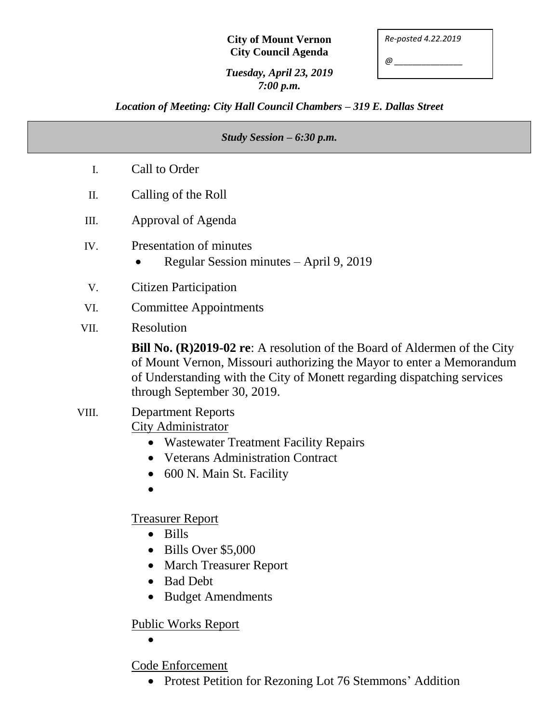## **City of Mount Vernon City Council Agenda**

*Re-posted 4.22.2019*

*@ \_\_\_\_\_\_\_\_\_\_\_\_\_\_\_*

## *Tuesday, April 23, 2019 7:00 p.m.*

## *Location of Meeting: City Hall Council Chambers – 319 E. Dallas Street*

# *Study Session – 6:30 p.m.* I. Call to Order II. Calling of the Roll III. Approval of Agenda IV. Presentation of minutes • Regular Session minutes – April 9, 2019 V. Citizen Participation VI. Committee Appointments VII. Resolution **Bill No. (R)2019-02 re**: A resolution of the Board of Aldermen of the City of Mount Vernon, Missouri authorizing the Mayor to enter a Memorandum of Understanding with the City of Monett regarding dispatching services through September 30, 2019. VIII. Department Reports City Administrator Wastewater Treatment Facility Repairs • Veterans Administration Contract • 600 N. Main St. Facility  $\bullet$ Treasurer Report • Bills • Bills Over \$5,000 • March Treasurer Report • Bad Debt • Budget Amendments Public Works Report

 $\bullet$ 

Code Enforcement

• Protest Petition for Rezoning Lot 76 Stemmons' Addition